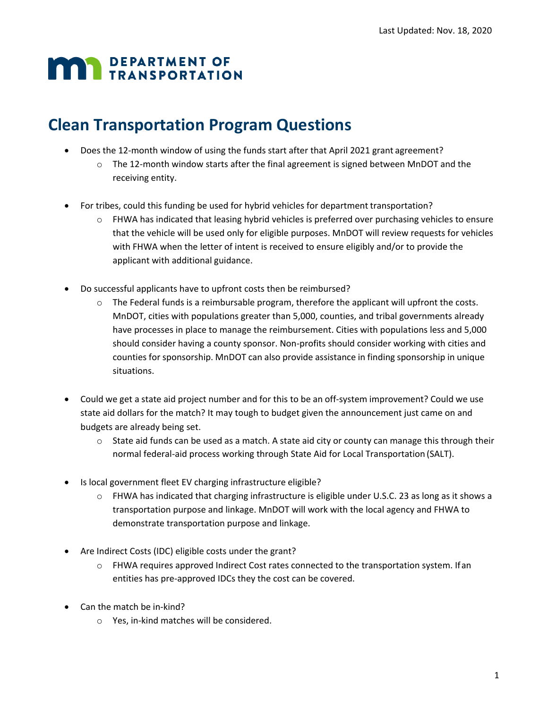## **DEPARTMENT OF TRANSPORTATION**

## **Clean Transportation Program Questions**

- Does the 12-month window of using the funds start after that April 2021 grant agreement?
	- $\circ$  The 12-month window starts after the final agreement is signed between MnDOT and the receiving entity.
- For tribes, could this funding be used for hybrid vehicles for department transportation?
	- $\circ$  FHWA has indicated that leasing hybrid vehicles is preferred over purchasing vehicles to ensure that the vehicle will be used only for eligible purposes. MnDOT will review requests for vehicles with FHWA when the letter of intent is received to ensure eligibly and/or to provide the applicant with additional guidance.
- Do successful applicants have to upfront costs then be reimbursed?
	- $\circ$  The Federal funds is a reimbursable program, therefore the applicant will upfront the costs. MnDOT, cities with populations greater than 5,000, counties, and tribal governments already have processes in place to manage the reimbursement. Cities with populations less and 5,000 should consider having a county sponsor. Non-profits should consider working with cities and counties for sponsorship. MnDOT can also provide assistance in finding sponsorship in unique situations.
- Could we get a state aid project number and for this to be an off-system improvement? Could we use state aid dollars for the match? It may tough to budget given the announcement just came on and budgets are already being set.
	- $\circ$  State aid funds can be used as a match. A state aid city or county can manage this through their normal federal-aid process working through State Aid for Local Transportation (SALT).
- Is local government fleet EV charging infrastructure eligible?
	- o FHWA has indicated that charging infrastructure is eligible under U.S.C. 23 as long as it shows a transportation purpose and linkage. MnDOT will work with the local agency and FHWA to demonstrate transportation purpose and linkage.
- Are Indirect Costs (IDC) eligible costs under the grant?
	- o FHWA requires approved Indirect Cost rates connected to the transportation system. Ifan entities has pre-approved IDCs they the cost can be covered.
- Can the match be in-kind?
	- o Yes, in-kind matches will be considered.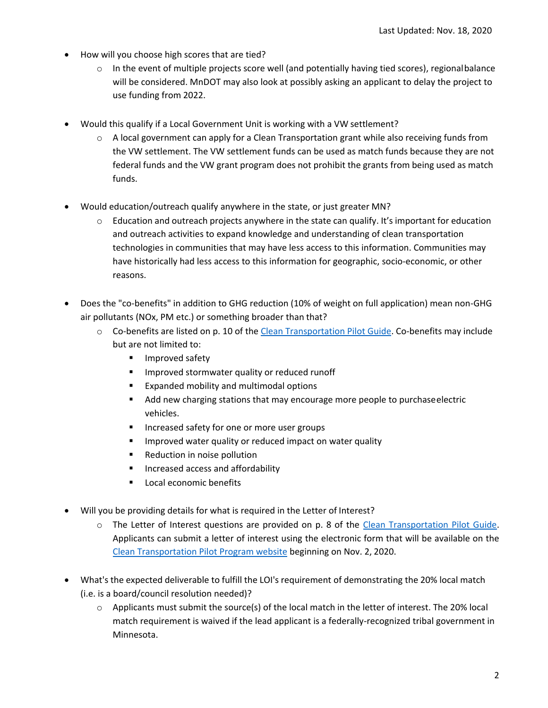- How will you choose high scores that are tied?
	- $\circ$  In the event of multiple projects score well (and potentially having tied scores), regionalbalance will be considered. MnDOT may also look at possibly asking an applicant to delay the project to use funding from 2022.
- Would this qualify if a Local Government Unit is working with a VW settlement?
	- $\circ$  A local government can apply for a Clean Transportation grant while also receiving funds from the VW settlement. The VW settlement funds can be used as match funds because they are not federal funds and the VW grant program does not prohibit the grants from being used as match funds.
- Would education/outreach qualify anywhere in the state, or just greater MN?
	- $\circ$  Education and outreach projects anywhere in the state can qualify. It's important for education and outreach activities to expand knowledge and understanding of clean transportation technologies in communities that may have less access to this information. Communities may have historically had less access to this information for geographic, socio-economic, or other reasons.
- Does the "co-benefits" in addition to GHG reduction (10% of weight on full application) mean non-GHG air pollutants (NOx, PM etc.) or something broader than that?
	- o Co-benefits are listed on p. 10 of the [Clean Transportation Pilot Guide. C](http://www.dot.state.mn.us/sustainability/docs/clean-transportation-pilot-guide.pdf)o-benefits may include but are not limited to:
		- Improved safety
		- Improved stormwater quality or reduced runoff
		- Expanded mobility and multimodal options
		- Add new charging stations that may encourage more people to purchase electric vehicles.
		- Increased safety for one or more user groups
		- Improved water quality or reduced impact on water quality
		- Reduction in noise pollution
		- Increased access and affordability
		- Local economic benefits
- Will you be providing details for what is required in the Letter of Interest?
	- o The Letter of Interest questions are provided on p. 8 of the [Clean Transportation Pilot Guide.](http://www.dot.state.mn.us/sustainability/docs/clean-transportation-pilot-guide.pdf) Applicants can submit a letter of interest using the electronic form that will be available on th[e](http://www.dot.state.mn.us/sustainability/clean-transportation.html) [Clean Transportation Pilot Program website](http://www.dot.state.mn.us/sustainability/clean-transportation.html) beginning on Nov. 2, 2020.
- What's the expected deliverable to fulfill the LOI's requirement of demonstrating the 20% local match (i.e. is a board/council resolution needed)?
	- o Applicants must submit the source(s) of the local match in the letter of interest. The 20% local match requirement is waived if the lead applicant is a federally-recognized tribal government in Minnesota.